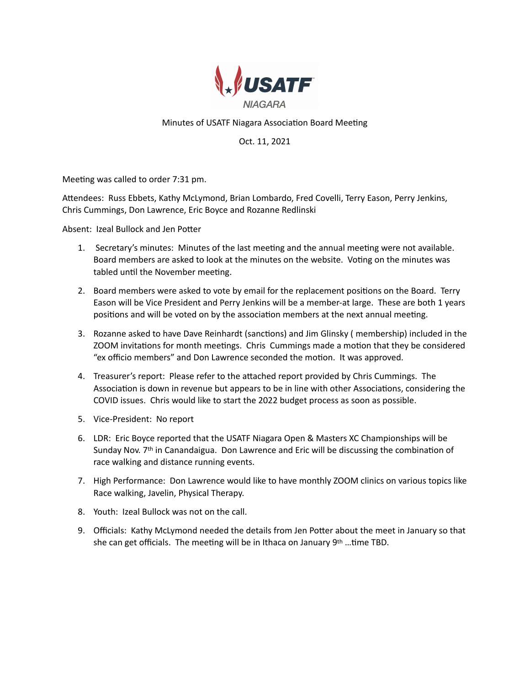

# Minutes of USATF Niagara Association Board Meeting

Oct. 11, 2021

Meeting was called to order 7:31 pm.

AEendees: Russ Ebbets, Kathy McLymond, Brian Lombardo, Fred Covelli, Terry Eason, Perry Jenkins, Chris Cummings, Don Lawrence, Eric Boyce and Rozanne Redlinski

Absent: Izeal Bullock and Jen Potter

- 1. Secretary's minutes: Minutes of the last meeting and the annual meeting were not available. Board members are asked to look at the minutes on the website. Voting on the minutes was tabled until the November meeting.
- 2. Board members were asked to vote by email for the replacement positions on the Board. Terry Eason will be Vice President and Perry Jenkins will be a member-at large. These are both 1 years positions and will be voted on by the association members at the next annual meeting.
- 3. Rozanne asked to have Dave Reinhardt (sanctions) and Jim Glinsky ( membership) included in the ZOOM invitations for month meetings. Chris Cummings made a motion that they be considered "ex officio members" and Don Lawrence seconded the motion. It was approved.
- 4. Treasurer's report: Please refer to the attached report provided by Chris Cummings. The Association is down in revenue but appears to be in line with other Associations, considering the COVID issues. Chris would like to start the 2022 budget process as soon as possible.
- 5. Vice-President: No report
- 6. LDR: Eric Boyce reported that the USATF Niagara Open & Masters XC Championships will be Sunday Nov.  $7<sup>th</sup>$  in Canandaigua. Don Lawrence and Eric will be discussing the combination of race walking and distance running events.
- 7. High Performance: Don Lawrence would like to have monthly ZOOM clinics on various topics like Race walking, Javelin, Physical Therapy.
- 8. Youth: Izeal Bullock was not on the call.
- 9. Officials: Kathy McLymond needed the details from Jen Potter about the meet in January so that she can get officials. The meeting will be in Ithaca on January 9th ... time TBD.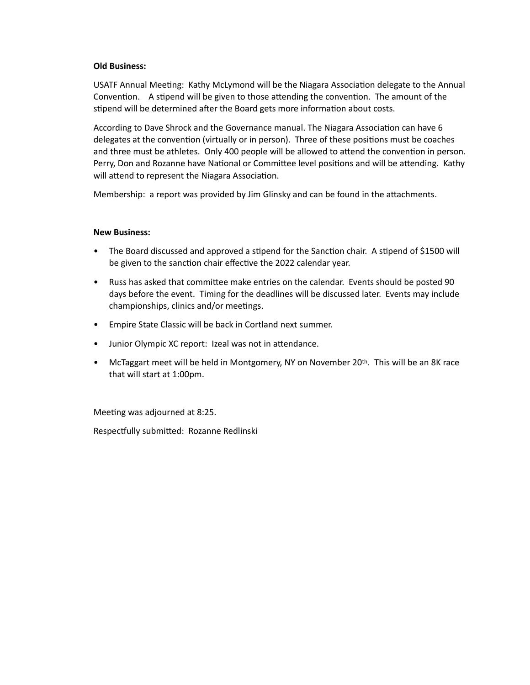### **Old Business:**

USATF Annual Meeting: Kathy McLymond will be the Niagara Association delegate to the Annual Convention. A stipend will be given to those attending the convention. The amount of the stipend will be determined after the Board gets more information about costs.

According to Dave Shrock and the Governance manual. The Niagara Association can have 6 delegates at the convention (virtually or in person). Three of these positions must be coaches and three must be athletes. Only 400 people will be allowed to attend the convention in person. Perry, Don and Rozanne have National or Committee level positions and will be attending. Kathy will attend to represent the Niagara Association.

Membership: a report was provided by Jim Glinsky and can be found in the attachments.

### **New Business:**

- The Board discussed and approved a stipend for the Sanction chair. A stipend of \$1500 will be given to the sanction chair effective the 2022 calendar year.
- Russ has asked that committee make entries on the calendar. Events should be posted 90 days before the event. Timing for the deadlines will be discussed later. Events may include championships, clinics and/or meetings.
- Empire State Classic will be back in Cortland next summer.
- Junior Olympic XC report: Izeal was not in attendance.
- McTaggart meet will be held in Montgomery, NY on November 20th. This will be an 8K race that will start at 1:00pm.

Meeting was adjourned at 8:25.

Respectfully submitted: Rozanne Redlinski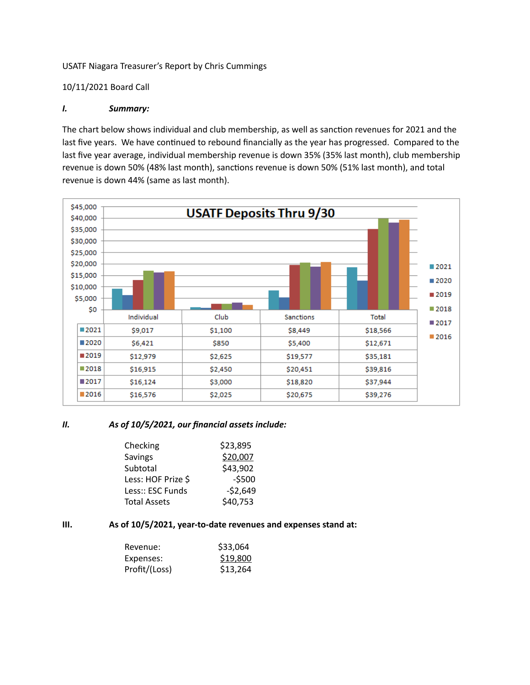### USATF Niagara Treasurer's Report by Chris Cummings

#### 10/11/2021 Board Call

### *I. Summary:*

The chart below shows individual and club membership, as well as sanction revenues for 2021 and the last five years. We have continued to rebound financially as the year has progressed. Compared to the last five year average, individual membership revenue is down 35% (35% last month), club membership revenue is down 50% (48% last month), sanctions revenue is down 50% (51% last month), and total revenue is down 44% (same as last month).



#### *II. As of 10/5/2021, our financial assets include:*

| \$23,895  |
|-----------|
| \$20,007  |
| \$43,902  |
| $-5500$   |
| $-52,649$ |
| \$40,753  |
|           |

## **III. As of 10/5/2021, year-to-date revenues and expenses stand at:**

| Revenue:      | \$33,064 |
|---------------|----------|
| Expenses:     | \$19,800 |
| Profit/(Loss) | \$13,264 |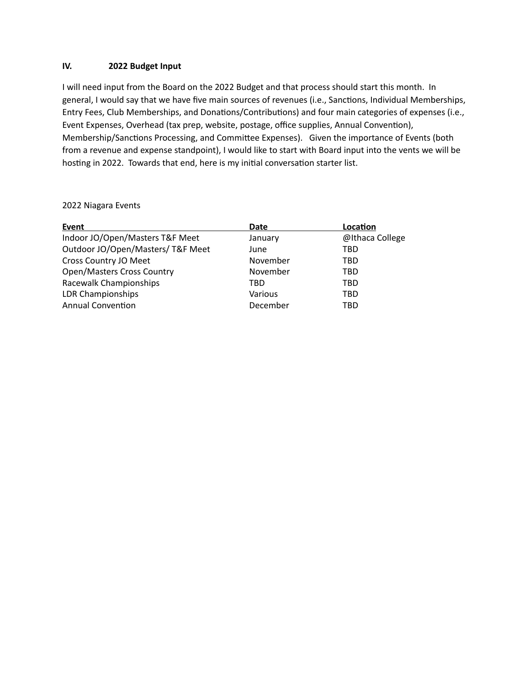## **IV. 2022 Budget Input**

I will need input from the Board on the 2022 Budget and that process should start this month. In general, I would say that we have five main sources of revenues (i.e., Sanctions, Individual Memberships, Entry Fees, Club Memberships, and Donations/Contributions) and four main categories of expenses (i.e., Event Expenses, Overhead (tax prep, website, postage, office supplies, Annual Convention), Membership/Sanctions Processing, and Committee Expenses). Given the importance of Events (both from a revenue and expense standpoint), I would like to start with Board input into the vents we will be hosting in 2022. Towards that end, here is my initial conversation starter list.

| Event                             | <b>Date</b> |                 |
|-----------------------------------|-------------|-----------------|
| Indoor JO/Open/Masters T&F Meet   | January     | @Ithaca College |
| Outdoor JO/Open/Masters/T&F Meet  | June        | TBD             |
| Cross Country JO Meet             | November    | <b>TBD</b>      |
| <b>Open/Masters Cross Country</b> | November    | <b>TBD</b>      |
| Racewalk Championships            | TBD         | <b>TBD</b>      |
| LDR Championships                 | Various     | <b>TBD</b>      |
| <b>Annual Convention</b>          | December    | <b>TBD</b>      |

2022 Niagara Events